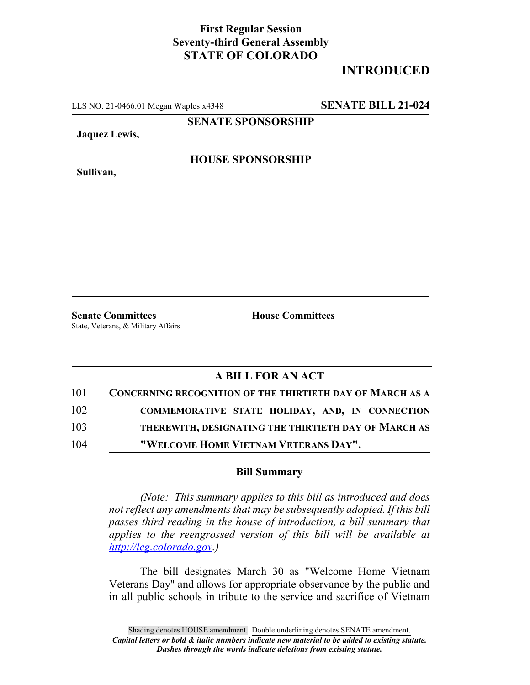## **First Regular Session Seventy-third General Assembly STATE OF COLORADO**

# **INTRODUCED**

LLS NO. 21-0466.01 Megan Waples x4348 **SENATE BILL 21-024**

**SENATE SPONSORSHIP**

**Jaquez Lewis,**

**HOUSE SPONSORSHIP**

**Sullivan,**

**Senate Committees House Committees** State, Veterans, & Military Affairs

### **A BILL FOR AN ACT**

| 101 | <b>CONCERNING RECOGNITION OF THE THIRTIETH DAY OF MARCH AS A</b> |
|-----|------------------------------------------------------------------|
| 102 | COMMEMORATIVE STATE HOLIDAY, AND, IN CONNECTION                  |
| 103 | THEREWITH, DESIGNATING THE THIRTIETH DAY OF MARCH AS             |
| 104 | "WELCOME HOME VIETNAM VETERANS DAY".                             |

#### **Bill Summary**

*(Note: This summary applies to this bill as introduced and does not reflect any amendments that may be subsequently adopted. If this bill passes third reading in the house of introduction, a bill summary that applies to the reengrossed version of this bill will be available at http://leg.colorado.gov.)*

The bill designates March 30 as "Welcome Home Vietnam Veterans Day" and allows for appropriate observance by the public and in all public schools in tribute to the service and sacrifice of Vietnam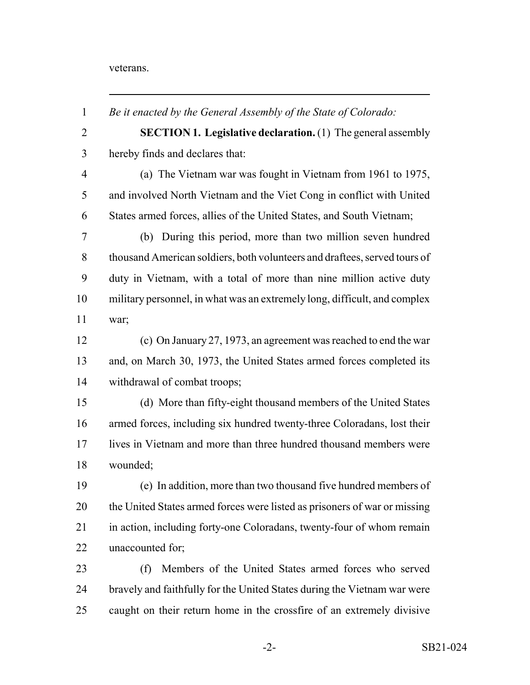#### veterans.

| $\mathbf{1}$   | Be it enacted by the General Assembly of the State of Colorado:           |
|----------------|---------------------------------------------------------------------------|
| $\overline{2}$ | <b>SECTION 1. Legislative declaration.</b> (1) The general assembly       |
| 3              | hereby finds and declares that:                                           |
| $\overline{4}$ | (a) The Vietnam war was fought in Vietnam from 1961 to 1975,              |
| 5              | and involved North Vietnam and the Viet Cong in conflict with United      |
| 6              | States armed forces, allies of the United States, and South Vietnam;      |
| 7              | (b) During this period, more than two million seven hundred               |
| 8              | thousand American soldiers, both volunteers and draftees, served tours of |
| 9              | duty in Vietnam, with a total of more than nine million active duty       |
| 10             | military personnel, in what was an extremely long, difficult, and complex |
| 11             | war;                                                                      |
| 12             | (c) On January 27, 1973, an agreement was reached to end the war          |
| 13             | and, on March 30, 1973, the United States armed forces completed its      |
| 14             | withdrawal of combat troops;                                              |
| 15             | (d) More than fifty-eight thousand members of the United States           |
| 16             | armed forces, including six hundred twenty-three Coloradans, lost their   |
| 17             | lives in Vietnam and more than three hundred thousand members were        |
| 18             | wounded;                                                                  |
| 19             | (e) In addition, more than two thousand five hundred members of           |
| 20             | the United States armed forces were listed as prisoners of war or missing |
| 21             | in action, including forty-one Coloradans, twenty-four of whom remain     |
| 22             | unaccounted for;                                                          |
| 23             | Members of the United States armed forces who served<br>(f)               |
| 24             | bravely and faithfully for the United States during the Vietnam war were  |
| 25             | caught on their return home in the crossfire of an extremely divisive     |